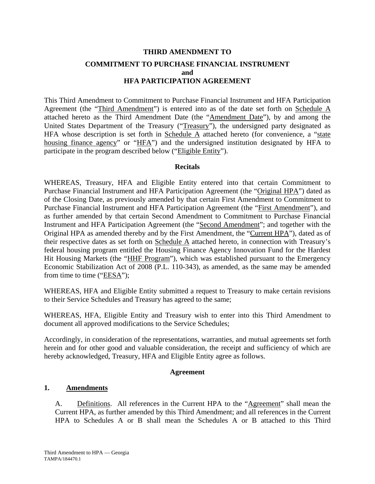# **THIRD AMENDMENT TO COMMITMENT TO PURCHASE FINANCIAL INSTRUMENT and HFA PARTICIPATION AGREEMENT**

This Third Amendment to Commitment to Purchase Financial Instrument and HFA Participation Agreement (the "Third Amendment") is entered into as of the date set forth on Schedule A attached hereto as the Third Amendment Date (the "Amendment Date"), by and among the United States Department of the Treasury ("Treasury"), the undersigned party designated as HFA whose description is set forth in Schedule  $\overline{A}$  attached hereto (for convenience, a "state housing finance agency" or "HFA") and the undersigned institution designated by HFA to participate in the program described below ("Eligible Entity").

### **Recitals**

WHEREAS, Treasury, HFA and Eligible Entity entered into that certain Commitment to Purchase Financial Instrument and HFA Participation Agreement (the "Original HPA") dated as of the Closing Date, as previously amended by that certain First Amendment to Commitment to Purchase Financial Instrument and HFA Participation Agreement (the "First Amendment"), and as further amended by that certain Second Amendment to Commitment to Purchase Financial Instrument and HFA Participation Agreement (the "Second Amendment"; and together with the Original HPA as amended thereby and by the First Amendment, the "Current HPA"), dated as of their respective dates as set forth on Schedule A attached hereto, in connection with Treasury's federal housing program entitled the Housing Finance Agency Innovation Fund for the Hardest Hit Housing Markets (the "HHF Program"), which was established pursuant to the Emergency Economic Stabilization Act of 2008 (P.L. 110-343), as amended, as the same may be amended from time to time (" $EESA$ ");

WHEREAS, HFA and Eligible Entity submitted a request to Treasury to make certain revisions to their Service Schedules and Treasury has agreed to the same;

WHEREAS, HFA, Eligible Entity and Treasury wish to enter into this Third Amendment to document all approved modifications to the Service Schedules;

Accordingly, in consideration of the representations, warranties, and mutual agreements set forth herein and for other good and valuable consideration, the receipt and sufficiency of which are hereby acknowledged, Treasury, HFA and Eligible Entity agree as follows.

### **Agreement**

### **1. Amendments**

A. Definitions. All references in the Current HPA to the "Agreement" shall mean the Current HPA, as further amended by this Third Amendment; and all references in the Current HPA to Schedules A or B shall mean the Schedules A or B attached to this Third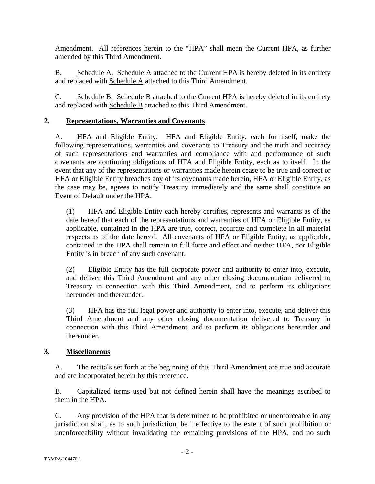Amendment. All references herein to the "HPA" shall mean the Current HPA, as further amended by this Third Amendment.

B. Schedule A. Schedule A attached to the Current HPA is hereby deleted in its entirety and replaced with Schedule A attached to this Third Amendment.

C. Schedule B. Schedule B attached to the Current HPA is hereby deleted in its entirety and replaced with Schedule B attached to this Third Amendment.

## **2. Representations, Warranties and Covenants**

A. HFA and Eligible Entity. HFA and Eligible Entity, each for itself, make the following representations, warranties and covenants to Treasury and the truth and accuracy of such representations and warranties and compliance with and performance of such covenants are continuing obligations of HFA and Eligible Entity, each as to itself. In the event that any of the representations or warranties made herein cease to be true and correct or HFA or Eligible Entity breaches any of its covenants made herein, HFA or Eligible Entity, as the case may be, agrees to notify Treasury immediately and the same shall constitute an Event of Default under the HPA.

(1) HFA and Eligible Entity each hereby certifies, represents and warrants as of the date hereof that each of the representations and warranties of HFA or Eligible Entity, as applicable, contained in the HPA are true, correct, accurate and complete in all material respects as of the date hereof. All covenants of HFA or Eligible Entity, as applicable, contained in the HPA shall remain in full force and effect and neither HFA, nor Eligible Entity is in breach of any such covenant.

(2) Eligible Entity has the full corporate power and authority to enter into, execute, and deliver this Third Amendment and any other closing documentation delivered to Treasury in connection with this Third Amendment, and to perform its obligations hereunder and thereunder.

(3) HFA has the full legal power and authority to enter into, execute, and deliver this Third Amendment and any other closing documentation delivered to Treasury in connection with this Third Amendment, and to perform its obligations hereunder and thereunder.

### **3. Miscellaneous**

A. The recitals set forth at the beginning of this Third Amendment are true and accurate and are incorporated herein by this reference.

B. Capitalized terms used but not defined herein shall have the meanings ascribed to them in the HPA.

C. Any provision of the HPA that is determined to be prohibited or unenforceable in any jurisdiction shall, as to such jurisdiction, be ineffective to the extent of such prohibition or unenforceability without invalidating the remaining provisions of the HPA, and no such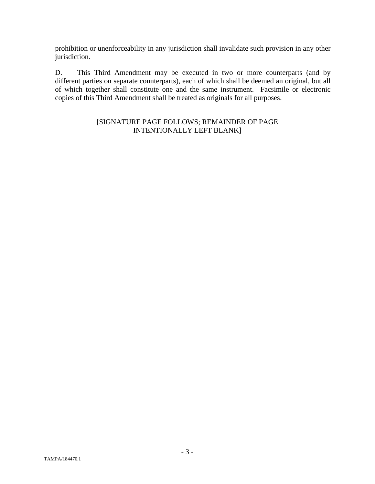prohibition or unenforceability in any jurisdiction shall invalidate such provision in any other jurisdiction.

D. This Third Amendment may be executed in two or more counterparts (and by different parties on separate counterparts), each of which shall be deemed an original, but all of which together shall constitute one and the same instrument. Facsimile or electronic copies of this Third Amendment shall be treated as originals for all purposes.

### [SIGNATURE PAGE FOLLOWS; REMAINDER OF PAGE INTENTIONALLY LEFT BLANK]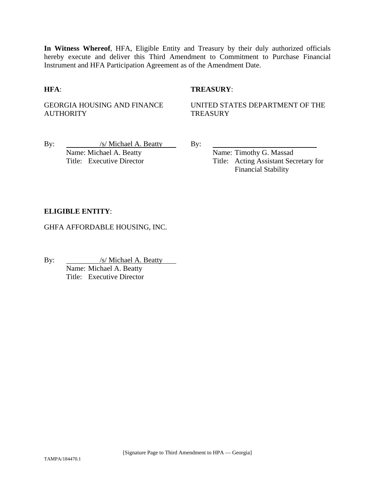**In Witness Whereof**, HFA, Eligible Entity and Treasury by their duly authorized officials hereby execute and deliver this Third Amendment to Commitment to Purchase Financial Instrument and HFA Participation Agreement as of the Amendment Date.

### **HFA**: **TREASURY**:

GEORGIA HOUSING AND FINANCE **AUTHORITY** 

UNITED STATES DEPARTMENT OF THE **TREASURY** 

By: /s/ Michael A. Beatty By: Name: Michael A. Beatty Name: Timothy G. Massad

Title: Executive Director Title: Acting Assistant Secretary for Financial Stability

### **ELIGIBLE ENTITY**:

GHFA AFFORDABLE HOUSING, INC.

By:  $\frac{|s|}{\text{Michael A. Beatty}}$ 

Name: Michael A. Beatty Title: Executive Director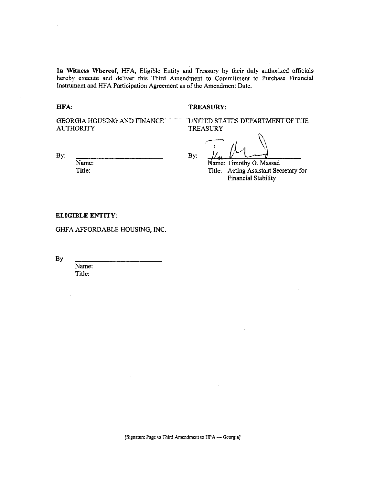In Witness Whereof, HFA, Eligible Entity and Treasury by their duly authorized officials hereby execute and deliver this Third Amendment to Commitment to Purchase Financial Instrument and HFA Participation Agreement as of the Amendment Date.

HFA:

#### TREASURY:

**GEORGIA HOUSING AND FINANCE AUTHORITY** 

 $\sim 100$  km s  $^{-1}$  m s  $^{-1}$ 

UNITED STATES DEPARTMENT OF THE **TREASURY** 

By:

Name: Title:

By:

Name: Timothy G. Massad

Title: Acting Assistant Secretary for **Financial Stability** 

### **ELIGIBLE ENTITY:**

GHFA AFFORDABLE HOUSING, INC.

By:

Name: Title:

[Signature Page to Third Amendment to HPA -- Georgia]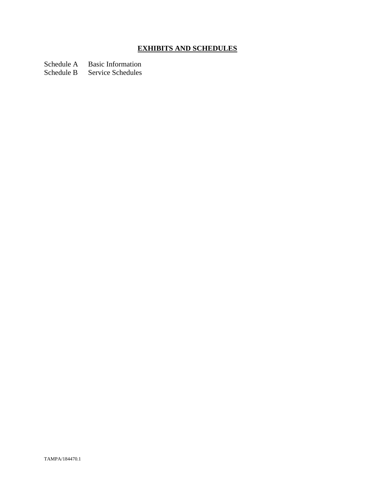# **EXHIBITS AND SCHEDULES**

Schedule A Basic Information

Schedule B Service Schedules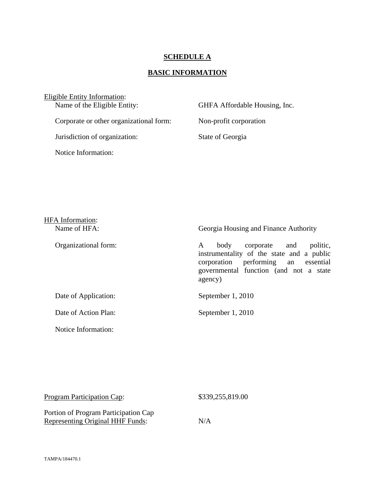### **SCHEDULE A**

## **BASIC INFORMATION**

Eligible Entity Information:<br>Name of the Eligible Entity: GHFA Affordable Housing, Inc. Corporate or other organizational form: Non-profit corporation Jurisdiction of organization: State of Georgia Notice Information:

| <b>HFA</b> Information:<br>Name of HFA: | Georgia Housing and Finance Authority                                                                                                                                              |
|-----------------------------------------|------------------------------------------------------------------------------------------------------------------------------------------------------------------------------------|
| Organizational form:                    | corporate and<br>politic,<br>body<br>A<br>instrumentality of the state and a public<br>performing an essential<br>corporation<br>governmental function (and not a state<br>agency) |
| Date of Application:                    | September 1, 2010                                                                                                                                                                  |
| Date of Action Plan:                    | September 1, 2010                                                                                                                                                                  |
|                                         |                                                                                                                                                                                    |

| Program Participation Cap:              | \$339,255,819.00 |  |
|-----------------------------------------|------------------|--|
| Portion of Program Participation Cap    |                  |  |
| <b>Representing Original HHF Funds:</b> | N/A              |  |

Notice Information: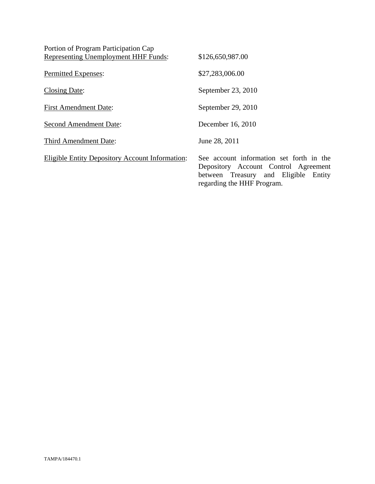| Portion of Program Participation Cap                   |                                                                                                                                                        |
|--------------------------------------------------------|--------------------------------------------------------------------------------------------------------------------------------------------------------|
| <b>Representing Unemployment HHF Funds:</b>            | \$126,650,987.00                                                                                                                                       |
| Permitted Expenses:                                    | \$27,283,006.00                                                                                                                                        |
| Closing Date:                                          | September 23, 2010                                                                                                                                     |
| <b>First Amendment Date:</b>                           | September 29, 2010                                                                                                                                     |
| <b>Second Amendment Date:</b>                          | December 16, 2010                                                                                                                                      |
| Third Amendment Date:                                  | June 28, 2011                                                                                                                                          |
| <b>Eligible Entity Depository Account Information:</b> | See account information set forth in the<br>Depository Account Control Agreement<br>between Treasury and Eligible Entity<br>regarding the HHF Program. |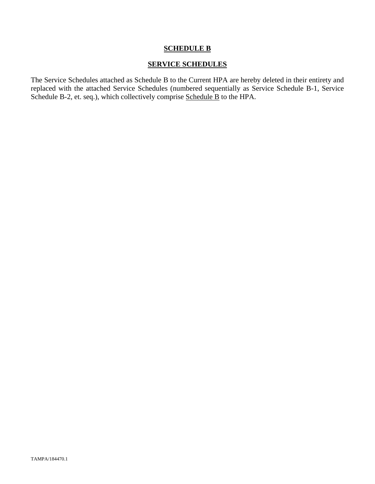### **SCHEDULE B**

### **SERVICE SCHEDULES**

The Service Schedules attached as Schedule B to the Current HPA are hereby deleted in their entirety and replaced with the attached Service Schedules (numbered sequentially as Service Schedule B-1, Service Schedule B-2, et. seq.), which collectively comprise Schedule B to the HPA.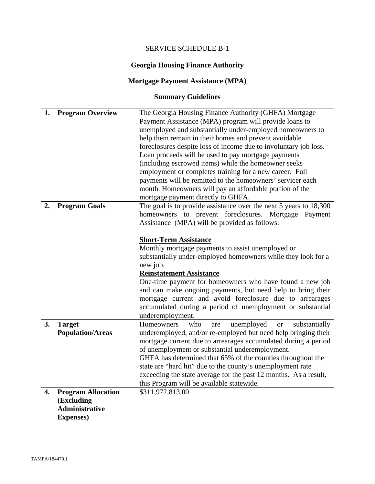# SERVICE SCHEDULE B-1

# **Georgia Housing Finance Authority**

# **Mortgage Payment Assistance (MPA)**

# **Summary Guidelines**

| 1. | <b>Program Overview</b>   | The Georgia Housing Finance Authority (GHFA) Mortgage<br>Payment Assistance (MPA) program will provide loans to |
|----|---------------------------|-----------------------------------------------------------------------------------------------------------------|
|    |                           | unemployed and substantially under-employed homeowners to                                                       |
|    |                           | help them remain in their homes and prevent avoidable                                                           |
|    |                           | foreclosures despite loss of income due to involuntary job loss.                                                |
|    |                           | Loan proceeds will be used to pay mortgage payments                                                             |
|    |                           | (including escrowed items) while the homeowner seeks                                                            |
|    |                           | employment or completes training for a new career. Full                                                         |
|    |                           | payments will be remitted to the homeowners' servicer each                                                      |
|    |                           | month. Homeowners will pay an affordable portion of the                                                         |
|    |                           | mortgage payment directly to GHFA.                                                                              |
| 2. | <b>Program Goals</b>      | The goal is to provide assistance over the next 5 years to 18,300                                               |
|    |                           | homeowners to prevent foreclosures. Mortgage Payment                                                            |
|    |                           | Assistance (MPA) will be provided as follows:                                                                   |
|    |                           |                                                                                                                 |
|    |                           | <b>Short-Term Assistance</b>                                                                                    |
|    |                           | Monthly mortgage payments to assist unemployed or                                                               |
|    |                           | substantially under-employed homeowners while they look for a                                                   |
|    |                           | new job.                                                                                                        |
|    |                           | <b>Reinstatement Assistance</b>                                                                                 |
|    |                           | One-time payment for homeowners who have found a new job                                                        |
|    |                           | and can make ongoing payments, but need help to bring their                                                     |
|    |                           | mortgage current and avoid foreclosure due to arrearages                                                        |
|    |                           | accumulated during a period of unemployment or substantial                                                      |
|    |                           | underemployment.                                                                                                |
| 3. | <b>Target</b>             | unemployed<br>Homeowners<br>who<br>substantially<br><b>or</b><br>are                                            |
|    | <b>Population/Areas</b>   | underemployed, and/or re-employed but need help bringing their                                                  |
|    |                           | mortgage current due to arrearages accumulated during a period                                                  |
|    |                           | of unemployment or substantial underemployment.                                                                 |
|    |                           | GHFA has determined that 65% of the counties throughout the                                                     |
|    |                           | state are "hard hit" due to the county's unemployment rate                                                      |
|    |                           | exceeding the state average for the past 12 months. As a result,                                                |
|    |                           | this Program will be available statewide.                                                                       |
| 4. | <b>Program Allocation</b> | \$311,972,813.00                                                                                                |
|    | (Excluding                |                                                                                                                 |
|    | <b>Administrative</b>     |                                                                                                                 |
|    |                           |                                                                                                                 |
|    | <b>Expenses</b> )         |                                                                                                                 |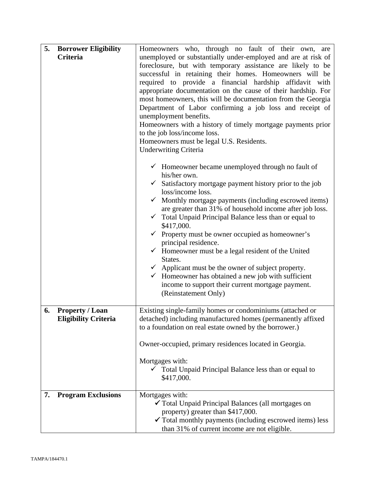| Criteria<br>unemployed or substantially under-employed and are at risk of<br>foreclosure, but with temporary assistance are likely to be<br>successful in retaining their homes. Homeowners will be<br>required to provide a financial hardship affidavit with<br>appropriate documentation on the cause of their hardship. For<br>most homeowners, this will be documentation from the Georgia<br>Department of Labor confirming a job loss and receipt of<br>unemployment benefits.<br>Homeowners with a history of timely mortgage payments prior<br>to the job loss/income loss. |
|--------------------------------------------------------------------------------------------------------------------------------------------------------------------------------------------------------------------------------------------------------------------------------------------------------------------------------------------------------------------------------------------------------------------------------------------------------------------------------------------------------------------------------------------------------------------------------------|
|                                                                                                                                                                                                                                                                                                                                                                                                                                                                                                                                                                                      |
|                                                                                                                                                                                                                                                                                                                                                                                                                                                                                                                                                                                      |
|                                                                                                                                                                                                                                                                                                                                                                                                                                                                                                                                                                                      |
|                                                                                                                                                                                                                                                                                                                                                                                                                                                                                                                                                                                      |
|                                                                                                                                                                                                                                                                                                                                                                                                                                                                                                                                                                                      |
|                                                                                                                                                                                                                                                                                                                                                                                                                                                                                                                                                                                      |
|                                                                                                                                                                                                                                                                                                                                                                                                                                                                                                                                                                                      |
|                                                                                                                                                                                                                                                                                                                                                                                                                                                                                                                                                                                      |
|                                                                                                                                                                                                                                                                                                                                                                                                                                                                                                                                                                                      |
| Homeowners must be legal U.S. Residents.<br><b>Underwriting Criteria</b>                                                                                                                                                                                                                                                                                                                                                                                                                                                                                                             |
|                                                                                                                                                                                                                                                                                                                                                                                                                                                                                                                                                                                      |
| $\checkmark$ Homeowner became unemployed through no fault of<br>his/her own.                                                                                                                                                                                                                                                                                                                                                                                                                                                                                                         |
| $\checkmark$ Satisfactory mortgage payment history prior to the job<br>loss/income loss.                                                                                                                                                                                                                                                                                                                                                                                                                                                                                             |
| Monthly mortgage payments (including escrowed items)                                                                                                                                                                                                                                                                                                                                                                                                                                                                                                                                 |
| are greater than 31% of household income after job loss.                                                                                                                                                                                                                                                                                                                                                                                                                                                                                                                             |
| Total Unpaid Principal Balance less than or equal to<br>\$417,000.                                                                                                                                                                                                                                                                                                                                                                                                                                                                                                                   |
| $\checkmark$ Property must be owner occupied as homeowner's                                                                                                                                                                                                                                                                                                                                                                                                                                                                                                                          |
| principal residence.                                                                                                                                                                                                                                                                                                                                                                                                                                                                                                                                                                 |
| $\checkmark$ Homeowner must be a legal resident of the United                                                                                                                                                                                                                                                                                                                                                                                                                                                                                                                        |
| States.                                                                                                                                                                                                                                                                                                                                                                                                                                                                                                                                                                              |
| $\checkmark$ Applicant must be the owner of subject property.<br>$\checkmark$ Homeowner has obtained a new job with sufficient                                                                                                                                                                                                                                                                                                                                                                                                                                                       |
| income to support their current mortgage payment.                                                                                                                                                                                                                                                                                                                                                                                                                                                                                                                                    |
| (Reinstatement Only)                                                                                                                                                                                                                                                                                                                                                                                                                                                                                                                                                                 |
|                                                                                                                                                                                                                                                                                                                                                                                                                                                                                                                                                                                      |
| Existing single-family homes or condominiums (attached or<br>6.<br><b>Property / Loan</b>                                                                                                                                                                                                                                                                                                                                                                                                                                                                                            |
| detached) including manufactured homes (permanently affixed<br><b>Eligibility Criteria</b>                                                                                                                                                                                                                                                                                                                                                                                                                                                                                           |
| to a foundation on real estate owned by the borrower.)                                                                                                                                                                                                                                                                                                                                                                                                                                                                                                                               |
| Owner-occupied, primary residences located in Georgia.                                                                                                                                                                                                                                                                                                                                                                                                                                                                                                                               |
| Mortgages with:                                                                                                                                                                                                                                                                                                                                                                                                                                                                                                                                                                      |
| Total Unpaid Principal Balance less than or equal to                                                                                                                                                                                                                                                                                                                                                                                                                                                                                                                                 |
| \$417,000.                                                                                                                                                                                                                                                                                                                                                                                                                                                                                                                                                                           |
| <b>Program Exclusions</b><br>7.<br>Mortgages with:                                                                                                                                                                                                                                                                                                                                                                                                                                                                                                                                   |
| ✔ Total Unpaid Principal Balances (all mortgages on                                                                                                                                                                                                                                                                                                                                                                                                                                                                                                                                  |
| property) greater than \$417,000.                                                                                                                                                                                                                                                                                                                                                                                                                                                                                                                                                    |
| $\checkmark$ Total monthly payments (including escrowed items) less<br>than 31% of current income are not eligible.                                                                                                                                                                                                                                                                                                                                                                                                                                                                  |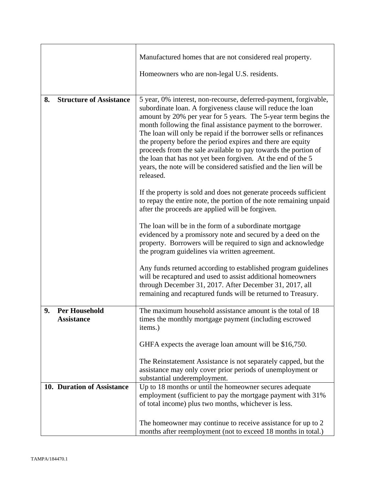|                                                 | Manufactured homes that are not considered real property.                                                                                                                                                                                                                                                                                                                                                                                                                                                                                                                                                                 |
|-------------------------------------------------|---------------------------------------------------------------------------------------------------------------------------------------------------------------------------------------------------------------------------------------------------------------------------------------------------------------------------------------------------------------------------------------------------------------------------------------------------------------------------------------------------------------------------------------------------------------------------------------------------------------------------|
|                                                 | Homeowners who are non-legal U.S. residents.                                                                                                                                                                                                                                                                                                                                                                                                                                                                                                                                                                              |
| <b>Structure of Assistance</b><br>8.            | 5 year, 0% interest, non-recourse, deferred-payment, forgivable,<br>subordinate loan. A forgiveness clause will reduce the loan<br>amount by 20% per year for 5 years. The 5-year term begins the<br>month following the final assistance payment to the borrower.<br>The loan will only be repaid if the borrower sells or refinances<br>the property before the period expires and there are equity<br>proceeds from the sale available to pay towards the portion of<br>the loan that has not yet been forgiven. At the end of the 5<br>years, the note will be considered satisfied and the lien will be<br>released. |
|                                                 | If the property is sold and does not generate proceeds sufficient<br>to repay the entire note, the portion of the note remaining unpaid<br>after the proceeds are applied will be forgiven.                                                                                                                                                                                                                                                                                                                                                                                                                               |
|                                                 | The loan will be in the form of a subordinate mortgage<br>evidenced by a promissory note and secured by a deed on the<br>property. Borrowers will be required to sign and acknowledge<br>the program guidelines via written agreement.                                                                                                                                                                                                                                                                                                                                                                                    |
|                                                 | Any funds returned according to established program guidelines<br>will be recaptured and used to assist additional homeowners<br>through December 31, 2017. After December 31, 2017, all<br>remaining and recaptured funds will be returned to Treasury.                                                                                                                                                                                                                                                                                                                                                                  |
| 9.<br><b>Per Household</b><br><b>Assistance</b> | The maximum household assistance amount is the total of 18<br>times the monthly mortgage payment (including escrowed<br>items.)                                                                                                                                                                                                                                                                                                                                                                                                                                                                                           |
|                                                 | GHFA expects the average loan amount will be \$16,750.                                                                                                                                                                                                                                                                                                                                                                                                                                                                                                                                                                    |
|                                                 | The Reinstatement Assistance is not separately capped, but the<br>assistance may only cover prior periods of unemployment or<br>substantial underemployment.                                                                                                                                                                                                                                                                                                                                                                                                                                                              |
| 10. Duration of Assistance                      | Up to 18 months or until the homeowner secures adequate<br>employment (sufficient to pay the mortgage payment with 31%)<br>of total income) plus two months, whichever is less.                                                                                                                                                                                                                                                                                                                                                                                                                                           |
|                                                 | The homeowner may continue to receive assistance for up to 2<br>months after reemployment (not to exceed 18 months in total.)                                                                                                                                                                                                                                                                                                                                                                                                                                                                                             |